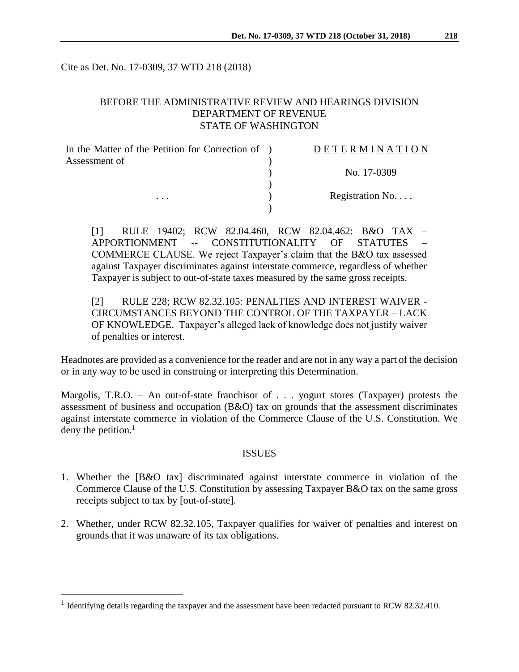Cite as Det. No. 17-0309, 37 WTD 218 (2018)

## BEFORE THE ADMINISTRATIVE REVIEW AND HEARINGS DIVISION DEPARTMENT OF REVENUE STATE OF WASHINGTON

| In the Matter of the Petition for Correction of ) | <b>DETERMINATION</b> |
|---------------------------------------------------|----------------------|
| Assessment of                                     |                      |
|                                                   | No. 17-0309          |
|                                                   |                      |
| $\cdots$                                          | Registration No      |
|                                                   |                      |

[1] RULE 19402; RCW 82.04.460, RCW 82.04.462: B&O TAX – APPORTIONMENT -- CONSTITUTIONALITY OF STATUTES – COMMERCE CLAUSE. We reject Taxpayer's claim that the B&O tax assessed against Taxpayer discriminates against interstate commerce, regardless of whether Taxpayer is subject to out-of-state taxes measured by the same gross receipts.

[2] RULE 228; RCW 82.32.105: PENALTIES AND INTEREST WAIVER - CIRCUMSTANCES BEYOND THE CONTROL OF THE TAXPAYER – LACK OF KNOWLEDGE. Taxpayer's alleged lack of knowledge does not justify waiver of penalties or interest.

Headnotes are provided as a convenience for the reader and are not in any way a part of the decision or in any way to be used in construing or interpreting this Determination.

Margolis, T.R.O. – An out-of-state franchisor of . . . yogurt stores (Taxpayer) protests the assessment of business and occupation (B&O) tax on grounds that the assessment discriminates against interstate commerce in violation of the Commerce Clause of the U.S. Constitution. We deny the petition.<sup>1</sup>

### ISSUES

- 1. Whether the [B&O tax] discriminated against interstate commerce in violation of the Commerce Clause of the U.S. Constitution by assessing Taxpayer B&O tax on the same gross receipts subject to tax by [out-of-state].
- 2. Whether, under RCW 82.32.105, Taxpayer qualifies for waiver of penalties and interest on grounds that it was unaware of its tax obligations.

 $\overline{a}$ 

<sup>&</sup>lt;sup>1</sup> Identifying details regarding the taxpayer and the assessment have been redacted pursuant to RCW 82.32.410.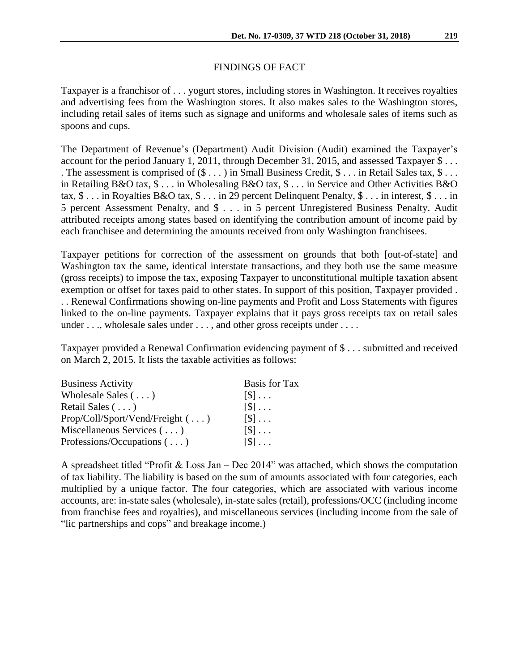# FINDINGS OF FACT

Taxpayer is a franchisor of . . . yogurt stores, including stores in Washington. It receives royalties and advertising fees from the Washington stores. It also makes sales to the Washington stores, including retail sales of items such as signage and uniforms and wholesale sales of items such as spoons and cups.

The Department of Revenue's (Department) Audit Division (Audit) examined the Taxpayer's account for the period January 1, 2011, through December 31, 2015, and assessed Taxpayer \$ . . . . The assessment is comprised of  $(\$ \dots)$  in Small Business Credit,  $\$ \dots$  in Retail Sales tax,  $\$ \dots$ in Retailing B&O tax, \$ . . . in Wholesaling B&O tax, \$ . . . in Service and Other Activities B&O tax, \$ . . . in Royalties B&O tax, \$ . . . in 29 percent Delinquent Penalty, \$ . . . in interest, \$ . . . in 5 percent Assessment Penalty, and \$ . . . in 5 percent Unregistered Business Penalty. Audit attributed receipts among states based on identifying the contribution amount of income paid by each franchisee and determining the amounts received from only Washington franchisees.

Taxpayer petitions for correction of the assessment on grounds that both [out-of-state] and Washington tax the same, identical interstate transactions, and they both use the same measure (gross receipts) to impose the tax, exposing Taxpayer to unconstitutional multiple taxation absent exemption or offset for taxes paid to other states. In support of this position, Taxpayer provided . . . Renewal Confirmations showing on-line payments and Profit and Loss Statements with figures linked to the on-line payments. Taxpayer explains that it pays gross receipts tax on retail sales under . . ., wholesale sales under . . . , and other gross receipts under . . . .

Taxpayer provided a Renewal Confirmation evidencing payment of \$ . . . submitted and received on March 2, 2015. It lists the taxable activities as follows:

| <b>Business Activity</b>               | <b>Basis for Tax</b>        |
|----------------------------------------|-----------------------------|
| Wholesale Sales $(\ldots)$             | $\lceil \mathcal{S} \rceil$ |
| Retail Sales $(\ldots)$                | $\lceil \mathbb{S} \rceil$  |
| $Prop/Coll/Sport/Vend/Freight( \dots)$ | $\lceil \mathcal{S} \rceil$ |
| Miscellaneous Services $(\ldots)$      | $\lceil \mathcal{S} \rceil$ |
| Professions/Occupations $(\ldots)$     | $\lceil \mathbb{S} \rceil$  |

A spreadsheet titled "Profit & Loss Jan – Dec 2014" was attached, which shows the computation of tax liability. The liability is based on the sum of amounts associated with four categories, each multiplied by a unique factor. The four categories, which are associated with various income accounts, are: in-state sales (wholesale), in-state sales (retail), professions/OCC (including income from franchise fees and royalties), and miscellaneous services (including income from the sale of "lic partnerships and cops" and breakage income.)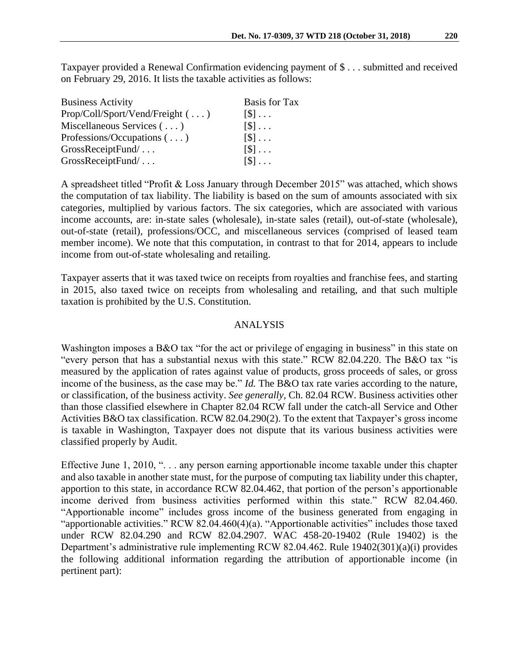Taxpayer provided a Renewal Confirmation evidencing payment of \$ . . . submitted and received on February 29, 2016. It lists the taxable activities as follows:

| <b>Business Activity</b>           | <b>Basis for Tax</b>        |
|------------------------------------|-----------------------------|
| $Prop/Coll/Sport/Vend/Freight$ ()  | $\lceil \mathcal{S} \rceil$ |
| Miscellaneous Services $(\ldots)$  | $\lceil \mathcal{S} \rceil$ |
| Professions/Occupations $(\ldots)$ | $\lceil \mathcal{S} \rceil$ |
| GrossReceiptFund/                  | $\lceil \mathbb{S} \rceil$  |
| GrossReceiptFund/                  | $\lceil \mathcal{S} \rceil$ |

A spreadsheet titled "Profit & Loss January through December 2015" was attached, which shows the computation of tax liability. The liability is based on the sum of amounts associated with six categories, multiplied by various factors. The six categories, which are associated with various income accounts, are: in-state sales (wholesale), in-state sales (retail), out-of-state (wholesale), out-of-state (retail), professions/OCC, and miscellaneous services (comprised of leased team member income). We note that this computation, in contrast to that for 2014, appears to include income from out-of-state wholesaling and retailing.

Taxpayer asserts that it was taxed twice on receipts from royalties and franchise fees, and starting in 2015, also taxed twice on receipts from wholesaling and retailing, and that such multiple taxation is prohibited by the U.S. Constitution.

### ANALYSIS

Washington imposes a B&O tax "for the act or privilege of engaging in business" in this state on "every person that has a substantial nexus with this state." RCW 82.04.220. The B&O tax "is measured by the application of rates against value of products, gross proceeds of sales, or gross income of the business, as the case may be." *Id.* The B&O tax rate varies according to the nature, or classification, of the business activity. *See generally,* Ch. 82.04 RCW. Business activities other than those classified elsewhere in Chapter 82.04 RCW fall under the catch-all Service and Other Activities B&O tax classification. RCW 82.04.290(2). To the extent that Taxpayer's gross income is taxable in Washington, Taxpayer does not dispute that its various business activities were classified properly by Audit.

Effective June 1, 2010, ". . . any person earning apportionable income taxable under this chapter and also taxable in another state must, for the purpose of computing tax liability under this chapter, apportion to this state, in accordance RCW 82.04.462, that portion of the person's apportionable income derived from business activities performed within this state." RCW 82.04.460. "Apportionable income" includes gross income of the business generated from engaging in "apportionable activities." RCW 82.04.460(4)(a). "Apportionable activities" includes those taxed under RCW 82.04.290 and RCW 82.04.2907. WAC 458-20-19402 (Rule 19402) is the Department's administrative rule implementing RCW 82.04.462. Rule 19402(301)(a)(i) provides the following additional information regarding the attribution of apportionable income (in pertinent part):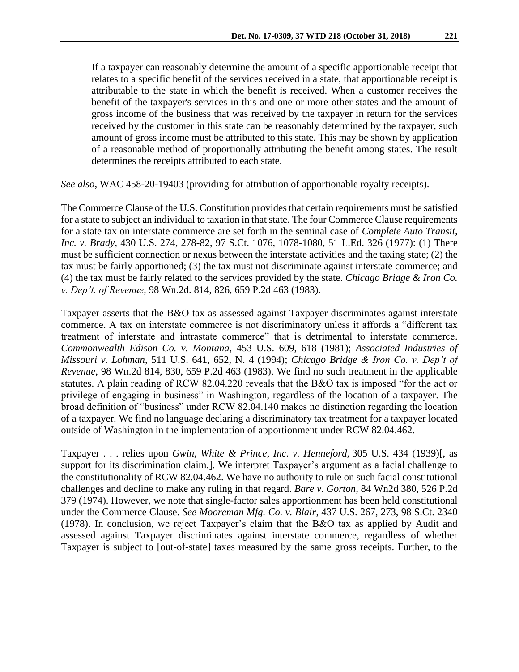If a taxpayer can reasonably determine the amount of a specific apportionable receipt that relates to a specific benefit of the services received in a state, that apportionable receipt is attributable to the state in which the benefit is received. When a customer receives the benefit of the taxpayer's services in this and one or more other states and the amount of gross income of the business that was received by the taxpayer in return for the services received by the customer in this state can be reasonably determined by the taxpayer, such amount of gross income must be attributed to this state. This may be shown by application of a reasonable method of proportionally attributing the benefit among states. The result determines the receipts attributed to each state.

*See also*, WAC 458-20-19403 (providing for attribution of apportionable royalty receipts).

The Commerce Clause of the U.S. Constitution provides that certain requirements must be satisfied for a state to subject an individual to taxation in that state. The four Commerce Clause requirements for a state tax on interstate commerce are set forth in the seminal case of *Complete Auto Transit, Inc. v. Brady*, 430 U.S. 274, 278-82, 97 S.Ct. 1076, 1078-1080, 51 L.Ed. 326 (1977): (1) There must be sufficient connection or nexus between the interstate activities and the taxing state; (2) the tax must be fairly apportioned; (3) the tax must not discriminate against interstate commerce; and (4) the tax must be fairly related to the services provided by the state. *Chicago Bridge & Iron Co. v. Dep't. of Revenue*, 98 Wn.2d. 814, 826, 659 P.2d 463 (1983).

Taxpayer asserts that the B&O tax as assessed against Taxpayer discriminates against interstate commerce. A tax on interstate commerce is not discriminatory unless it affords a "different tax treatment of interstate and intrastate commerce" that is detrimental to interstate commerce. *Commonwealth Edison Co. v. Montana*, 453 U.S. 609, 618 (1981); *Associated Industries of Missouri v. Lohman*, 511 U.S. 641, 652, N. 4 (1994); *Chicago Bridge & Iron Co. v. Dep't of Revenue*, 98 Wn.2d 814, 830, 659 P.2d 463 (1983). We find no such treatment in the applicable statutes. A plain reading of RCW 82.04.220 reveals that the B&O tax is imposed "for the act or privilege of engaging in business" in Washington, regardless of the location of a taxpayer. The broad definition of "business" under RCW 82.04.140 makes no distinction regarding the location of a taxpayer. We find no language declaring a discriminatory tax treatment for a taxpayer located outside of Washington in the implementation of apportionment under RCW 82.04.462.

Taxpayer . . . relies upon *[Gwin, White & Prince, Inc. v. Henneford,](https://1.next.westlaw.com/Link/Document/FullText?findType=Y&serNum=1939122269&pubNum=708&originatingDoc=I396f7a4a031311da9439b076ef9ec4de&refType=RP&originationContext=document&transitionType=DocumentItem&contextData=(sc.Default))* 305 U.S. 434 (1939)[, as support for its discrimination claim.]. We interpret Taxpayer's argument as a facial challenge to the constitutionality of RCW 82.04.462. We have no authority to rule on such facial constitutional challenges and decline to make any ruling in that regard. *Bare v. Gorton*, 84 Wn2d 380, 526 P.2d 379 (1974). However, we note that single-factor sales apportionment has been held constitutional under the Commerce Clause. *See Mooreman Mfg. Co. v. Blair*, 437 U.S. 267, 273, 98 S.Ct. 2340 (1978). In conclusion, we reject Taxpayer's claim that the B&O tax as applied by Audit and assessed against Taxpayer discriminates against interstate commerce, regardless of whether Taxpayer is subject to [out-of-state] taxes measured by the same gross receipts. Further, to the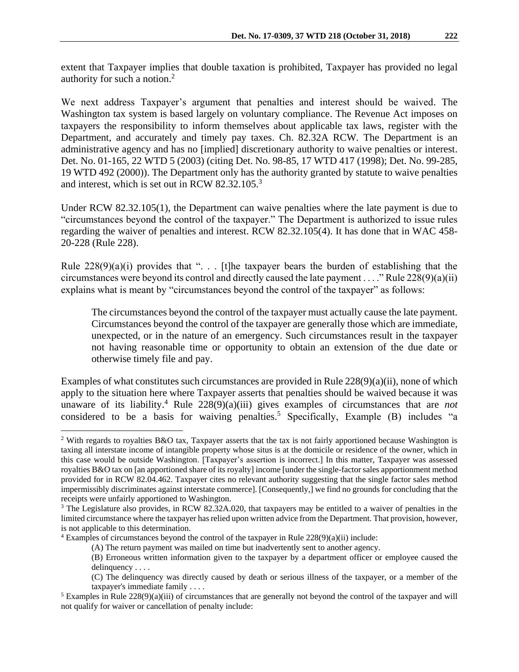We next address Taxpayer's argument that penalties and interest should be waived. The Washington tax system is based largely on voluntary compliance. The Revenue Act imposes on taxpayers the responsibility to inform themselves about applicable tax laws, register with the Department, and accurately and timely pay taxes. Ch. 82.32A RCW. The Department is an administrative agency and has no [implied] discretionary authority to waive penalties or interest. Det. No. 01-165, 22 WTD 5 (2003) (citing Det. No. 98-85, 17 WTD 417 (1998); Det. No. 99-285, 19 WTD 492 (2000)). The Department only has the authority granted by statute to waive penalties and interest, which is set out in RCW 82.32.105.<sup>3</sup>

Under RCW 82.32.105(1), the Department can waive penalties where the late payment is due to "circumstances beyond the control of the taxpayer." The Department is authorized to issue rules regarding the waiver of penalties and interest. RCW 82.32.105(4). It has done that in WAC 458- 20-228 (Rule 228).

Rule  $228(9)(a)(i)$  provides that "... [t]he taxpayer bears the burden of establishing that the circumstances were beyond its control and directly caused the late payment . . . ." Rule 228(9)(a)(ii) explains what is meant by "circumstances beyond the control of the taxpayer" as follows:

The circumstances beyond the control of the taxpayer must actually cause the late payment. Circumstances beyond the control of the taxpayer are generally those which are immediate, unexpected, or in the nature of an emergency. Such circumstances result in the taxpayer not having reasonable time or opportunity to obtain an extension of the due date or otherwise timely file and pay.

Examples of what constitutes such circumstances are provided in Rule 228(9)(a)(ii), none of which apply to the situation here where Taxpayer asserts that penalties should be waived because it was unaware of its liability. <sup>4</sup> Rule 228(9)(a)(iii) gives examples of circumstances that are *not* considered to be a basis for waiving penalties.<sup>5</sup> Specifically, Example  $(B)$  includes "a

 $\overline{a}$ 

<sup>&</sup>lt;sup>2</sup> With regards to royalties B&O tax, Taxpayer asserts that the tax is not fairly apportioned because Washington is taxing all interstate income of intangible property whose situs is at the domicile or residence of the owner, which in this case would be outside Washington. [Taxpayer's assertion is incorrect.] In this matter, Taxpayer was assessed royalties B&O tax on [an apportioned share of its royalty] income [under the single-factor sales apportionment method provided for in RCW 82.04.462. Taxpayer cites no relevant authority suggesting that the single factor sales method impermissibly discriminates against interstate commerce]. [Consequently,] we find no grounds for concluding that the receipts were unfairly apportioned to Washington.

<sup>&</sup>lt;sup>3</sup> The Legislature also provides, in RCW 82.32A.020, that taxpayers may be entitled to a waiver of penalties in the limited circumstance where the taxpayer has relied upon written advice from the Department. That provision, however, is not applicable to this determination.

 $4$  Examples of circumstances beyond the control of the taxpayer in Rule  $228(9)(a)(ii)$  include:

<sup>(</sup>A) The return payment was mailed on time but inadvertently sent to another agency.

<sup>(</sup>B) Erroneous written information given to the taxpayer by a department officer or employee caused the delinquency . . . .

<sup>(</sup>C) The delinquency was directly caused by death or serious illness of the taxpayer, or a member of the taxpayer's immediate family . . . .

 $5$  Examples in Rule  $228(9)(a)(iii)$  of circumstances that are generally not beyond the control of the taxpayer and will not qualify for waiver or cancellation of penalty include: